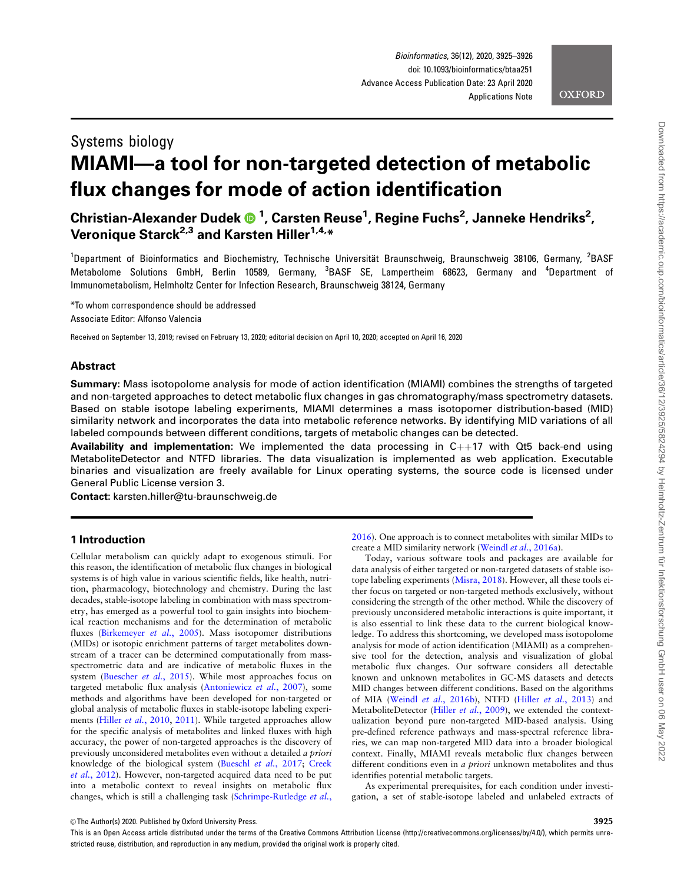# Systems biology MIAMI––a tool for non-targeted detection of metabolic flux changes for mode of action identification

Christian-Alexander Dudek <sup>1</sup> , Carsten Reuse1 , Regine Fuchs2 , Janneke Hendriks2 , Veronique Starck<sup>2,3</sup> and Karsten Hiller<sup>1,4,\*</sup>

<sup>1</sup>Department of Bioinformatics and Biochemistry, Technische Universität Braunschweig, Braunschweig 38106, Germany, <sup>2</sup>BASF Metabolome Solutions GmbH, Berlin 10589, Germany, <sup>3</sup>BASF SE, Lampertheim 68623, Germany and <sup>4</sup>Department of Immunometabolism, Helmholtz Center for Infection Research, Braunschweig 38124, Germany

\*To whom correspondence should be addressed Associate Editor: Alfonso Valencia

Received on September 13, 2019; revised on February 13, 2020; editorial decision on April 10, 2020; accepted on April 16, 2020

## Abstract

Summary: Mass isotopolome analysis for mode of action identification (MIAMI) combines the strengths of targeted and non-targeted approaches to detect metabolic flux changes in gas chromatography/mass spectrometry datasets. Based on stable isotope labeling experiments, MIAMI determines a mass isotopomer distribution-based (MID) similarity network and incorporates the data into metabolic reference networks. By identifying MID variations of all labeled compounds between different conditions, targets of metabolic changes can be detected.

**Availability and implementation:** We implemented the data processing in  $C_{++}$ 17 with Qt5 back-end using MetaboliteDetector and NTFD libraries. The data visualization is implemented as web application. Executable binaries and visualization are freely available for Linux operating systems, the source code is licensed under General Public License version 3.

Contact: karsten.hiller@tu-braunschweig.de

#### 1 Introduction

Cellular metabolism can quickly adapt to exogenous stimuli. For this reason, the identification of metabolic flux changes in biological systems is of high value in various scientific fields, like health, nutrition, pharmacology, biotechnology and chemistry. During the last decades, stable-isotope labeling in combination with mass spectrometry, has emerged as a powerful tool to gain insights into biochemical reaction mechanisms and for the determination of metabolic fluxes ([Birkemeyer](#page-1-0) et al., 2005). Mass isotopomer distributions (MIDs) or isotopic enrichment patterns of target metabolites downstream of a tracer can be determined computationally from massspectrometric data and are indicative of metabolic fluxes in the system ([Buescher](#page-1-0) et al., 2015). While most approaches focus on targeted metabolic flux analysis ([Antoniewicz](#page-1-0) et al., 2007), some methods and algorithms have been developed for non-targeted or global analysis of metabolic fluxes in stable-isotope labeling experiments (Hiller *et al.*[, 2010,](#page-1-0) [2011\)](#page-1-0). While targeted approaches allow for the specific analysis of metabolites and linked fluxes with high accuracy, the power of non-targeted approaches is the discovery of previously unconsidered metabolites even without a detailed a priori knowledge of the biological system ([Bueschl](#page-1-0) et al., 2017; [Creek](#page-1-0) et al.[, 2012\)](#page-1-0). However, non-targeted acquired data need to be put into a metabolic context to reveal insights on metabolic flux changes, which is still a challenging task ([Schrimpe-Rutledge](#page-1-0) et al., [2016\)](#page-1-0). One approach is to connect metabolites with similar MIDs to create a MID similarity network (Weindl et al.[, 2016a\)](#page-1-0).

Today, various software tools and packages are available for data analysis of either targeted or non-targeted datasets of stable isotope labeling experiments [\(Misra, 2018\)](#page-1-0). However, all these tools either focus on targeted or non-targeted methods exclusively, without considering the strength of the other method. While the discovery of previously unconsidered metabolic interactions is quite important, it is also essential to link these data to the current biological knowledge. To address this shortcoming, we developed mass isotopolome analysis for mode of action identification (MIAMI) as a comprehensive tool for the detection, analysis and visualization of global metabolic flux changes. Our software considers all detectable known and unknown metabolites in GC-MS datasets and detects MID changes between different conditions. Based on the algorithms of MIA (Weindl et al.[, 2016b\)](#page-1-0), NTFD (Hiller et al.[, 2013\)](#page-1-0) and MetaboliteDetector (Hiller et al.[, 2009](#page-1-0)), we extended the contextualization beyond pure non-targeted MID-based analysis. Using pre-defined reference pathways and mass-spectral reference libraries, we can map non-targeted MID data into a broader biological context. Finally, MIAMI reveals metabolic flux changes between different conditions even in *a priori* unknown metabolites and thus identifies potential metabolic targets.

As experimental prerequisites, for each condition under investigation, a set of stable-isotope labeled and unlabeled extracts of

 $\heartsuit$  The Author(s) 2020. Published by Oxford University Press.  $3925$